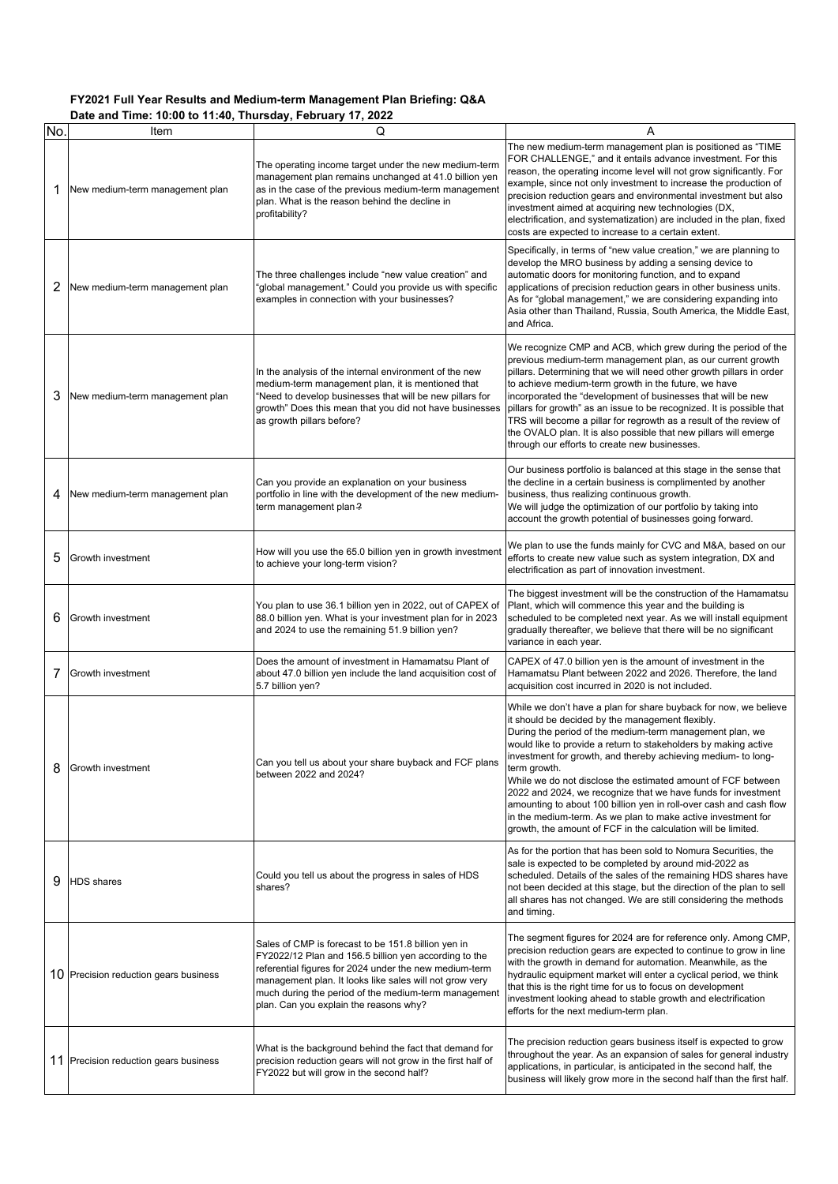## **FY2021 Full Year Results and Medium-term Management Plan Briefing: Q&A Date and Time: 10:00 to 11:40, Thursday, February 17, 2022**

| No. | Item                                  | Q                                                                                                                                                                                                                                                                                                                                   | A                                                                                                                                                                                                                                                                                                                                                                                                                                                                                                                                                                                                                                                                            |
|-----|---------------------------------------|-------------------------------------------------------------------------------------------------------------------------------------------------------------------------------------------------------------------------------------------------------------------------------------------------------------------------------------|------------------------------------------------------------------------------------------------------------------------------------------------------------------------------------------------------------------------------------------------------------------------------------------------------------------------------------------------------------------------------------------------------------------------------------------------------------------------------------------------------------------------------------------------------------------------------------------------------------------------------------------------------------------------------|
| 1   | New medium-term management plan       | The operating income target under the new medium-term<br>management plan remains unchanged at 41.0 billion yen<br>as in the case of the previous medium-term management<br>plan. What is the reason behind the decline in<br>profitability?                                                                                         | The new medium-term management plan is positioned as "TIME<br>FOR CHALLENGE," and it entails advance investment. For this<br>reason, the operating income level will not grow significantly. For<br>example, since not only investment to increase the production of<br>precision reduction gears and environmental investment but also<br>investment aimed at acquiring new technologies (DX,<br>electrification, and systematization) are included in the plan, fixed<br>costs are expected to increase to a certain extent.                                                                                                                                               |
| 2   | New medium-term management plan       | The three challenges include "new value creation" and<br>"global management." Could you provide us with specific<br>examples in connection with your businesses?                                                                                                                                                                    | Specifically, in terms of "new value creation," we are planning to<br>develop the MRO business by adding a sensing device to<br>automatic doors for monitoring function, and to expand<br>applications of precision reduction gears in other business units.<br>As for "global management," we are considering expanding into<br>Asia other than Thailand, Russia, South America, the Middle East,<br>and Africa.                                                                                                                                                                                                                                                            |
| 3   | New medium-term management plan       | In the analysis of the internal environment of the new<br>medium-term management plan, it is mentioned that<br>"Need to develop businesses that will be new pillars for<br>growth" Does this mean that you did not have businesses<br>as growth pillars before?                                                                     | We recognize CMP and ACB, which grew during the period of the<br>previous medium-term management plan, as our current growth<br>pillars. Determining that we will need other growth pillars in order<br>to achieve medium-term growth in the future, we have<br>incorporated the "development of businesses that will be new<br>pillars for growth" as an issue to be recognized. It is possible that<br>TRS will become a pillar for regrowth as a result of the review of<br>the OVALO plan. It is also possible that new pillars will emerge<br>through our efforts to create new businesses.                                                                             |
| 4   | New medium-term management plan       | Can you provide an explanation on your business<br>portfolio in line with the development of the new medium-<br>term management plan?                                                                                                                                                                                               | Our business portfolio is balanced at this stage in the sense that<br>the decline in a certain business is complimented by another<br>business, thus realizing continuous growth.<br>We will judge the optimization of our portfolio by taking into<br>account the growth potential of businesses going forward.                                                                                                                                                                                                                                                                                                                                                             |
| 5   | Growth investment                     | How will you use the 65.0 billion yen in growth investment<br>to achieve your long-term vision?                                                                                                                                                                                                                                     | We plan to use the funds mainly for CVC and M&A, based on our<br>efforts to create new value such as system integration, DX and<br>electrification as part of innovation investment.                                                                                                                                                                                                                                                                                                                                                                                                                                                                                         |
| 6   | Growth investment                     | You plan to use 36.1 billion yen in 2022, out of CAPEX of<br>88.0 billion yen. What is your investment plan for in 2023<br>and 2024 to use the remaining 51.9 billion yen?                                                                                                                                                          | The biggest investment will be the construction of the Hamamatsu<br>Plant, which will commence this year and the building is<br>scheduled to be completed next year. As we will install equipment<br>gradually thereafter, we believe that there will be no significant<br>variance in each year.                                                                                                                                                                                                                                                                                                                                                                            |
| 7   | Growth investment                     | Does the amount of investment in Hamamatsu Plant of<br>about 47.0 billion yen include the land acquisition cost of<br>5.7 billion yen?                                                                                                                                                                                              | CAPEX of 47.0 billion yen is the amount of investment in the<br>Hamamatsu Plant between 2022 and 2026. Therefore, the land<br>acquisition cost incurred in 2020 is not included.                                                                                                                                                                                                                                                                                                                                                                                                                                                                                             |
| 8   | Growth investment                     | Can you tell us about your share buyback and FCF plans<br>between 2022 and 2024?                                                                                                                                                                                                                                                    | While we don't have a plan for share buyback for now, we believe<br>it should be decided by the management flexibly.<br>During the period of the medium-term management plan, we<br>would like to provide a return to stakeholders by making active<br>investment for growth, and thereby achieving medium- to long-<br>term growth.<br>While we do not disclose the estimated amount of FCF between<br>2022 and 2024, we recognize that we have funds for investment<br>amounting to about 100 billion yen in roll-over cash and cash flow<br>in the medium-term. As we plan to make active investment for<br>growth, the amount of FCF in the calculation will be limited. |
| 9   | <b>HDS</b> shares                     | Could you tell us about the progress in sales of HDS<br>shares?                                                                                                                                                                                                                                                                     | As for the portion that has been sold to Nomura Securities, the<br>sale is expected to be completed by around mid-2022 as<br>scheduled. Details of the sales of the remaining HDS shares have<br>not been decided at this stage, but the direction of the plan to sell<br>all shares has not changed. We are still considering the methods<br>and timing.                                                                                                                                                                                                                                                                                                                    |
|     | 10 Precision reduction gears business | Sales of CMP is forecast to be 151.8 billion yen in<br>FY2022/12 Plan and 156.5 billion yen according to the<br>referential figures for 2024 under the new medium-term<br>management plan. It looks like sales will not grow very<br>much during the period of the medium-term management<br>plan. Can you explain the reasons why? | The segment figures for 2024 are for reference only. Among CMP,<br>precision reduction gears are expected to continue to grow in line<br>with the growth in demand for automation. Meanwhile, as the<br>hydraulic equipment market will enter a cyclical period, we think<br>that this is the right time for us to focus on development<br>investment looking ahead to stable growth and electrification<br>efforts for the next medium-term plan.                                                                                                                                                                                                                           |
|     | 11 Precision reduction gears business | What is the background behind the fact that demand for<br>precision reduction gears will not grow in the first half of<br>FY2022 but will grow in the second half?                                                                                                                                                                  | The precision reduction gears business itself is expected to grow<br>throughout the year. As an expansion of sales for general industry<br>applications, in particular, is anticipated in the second half, the<br>business will likely grow more in the second half than the first half.                                                                                                                                                                                                                                                                                                                                                                                     |